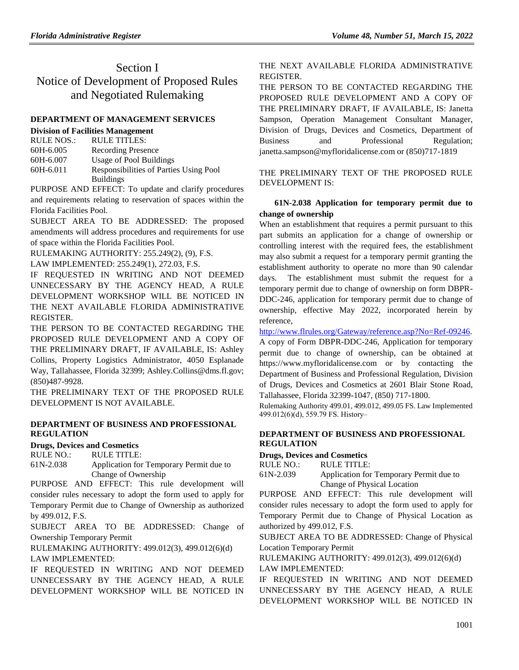## Section I Notice of Development of Proposed Rules and Negotiated Rulemaking

## **[DEPARTMENT OF MANAGEMENT](https://www.flrules.org/gateway/department.asp?id=60) SERVICES**

### **[Division of Facilities Management](https://www.flrules.org/gateway/organization.asp?id=229)**

| <b>RULE NOS.:</b> | <b>RULE TITLES:</b>                    |
|-------------------|----------------------------------------|
| 60H-6.005         | <b>Recording Presence</b>              |
| 60H-6.007         | Usage of Pool Buildings                |
| 60H-6.011         | Responsibilities of Parties Using Pool |
|                   | <b>Buildings</b>                       |

PURPOSE AND EFFECT: To update and clarify procedures and requirements relating to reservation of spaces within the Florida Facilities Pool.

SUBJECT AREA TO BE ADDRESSED: The proposed amendments will address procedures and requirements for use of space within the Florida Facilities Pool.

RULEMAKING AUTHORITY: [255.249\(2\),](https://www.flrules.org/gateway/statute.asp?id=255.249(2)) (9), F.S.

LAW IMPLEMENTED: [255.249\(1\),](https://www.flrules.org/gateway/statute.asp?id=255.249(1)) [272.03,](https://www.flrules.org/gateway/statute.asp?id=%20272.03) F.S.

IF REQUESTED IN WRITING AND NOT DEEMED UNNECESSARY BY THE AGENCY HEAD, A RULE DEVELOPMENT WORKSHOP WILL BE NOTICED IN THE NEXT AVAILABLE FLORIDA ADMINISTRATIVE REGISTER.

THE PERSON TO BE CONTACTED REGARDING THE PROPOSED RULE DEVELOPMENT AND A COPY OF THE PRELIMINARY DRAFT, IF AVAILABLE, IS: Ashley Collins, Property Logistics Administrator, 4050 Esplanade Way, Tallahassee, Florida 32399; Ashley.Collins@dms.fl.gov; (850)487-9928.

THE PRELIMINARY TEXT OF THE PROPOSED RULE DEVELOPMENT IS NOT AVAILABLE.

## **[DEPARTMENT OF BUSINESS AND PROFESSIONAL](https://www.flrules.org/gateway/department.asp?id=61)  [REGULATION](https://www.flrules.org/gateway/department.asp?id=61)**

## **[Drugs, Devices and Cosmetics](https://www.flrules.org/gateway/organization.asp?id=1057)**

RULE NO.: RULE TITLE:

[61N-2.038](https://www.flrules.org/gateway/ruleNo.asp?id=61N-2.038) Application for Temporary Permit due to Change of Ownership

PURPOSE AND EFFECT: This rule development will consider rules necessary to adopt the form used to apply for Temporary Permit due to Change of Ownership as authorized by 499.012, F.S.

SUBJECT AREA TO BE ADDRESSED: Change of Ownership Temporary Permit

RULEMAKING AUTHORITY: [499.012\(3\), 499.012\(6\)\(d\)](https://www.flrules.org/gateway/cfr.asp?id=499.012(3),%20499.012(6)(d)) LAW IMPLEMENTED:

IF REQUESTED IN WRITING AND NOT DEEMED UNNECESSARY BY THE AGENCY HEAD, A RULE DEVELOPMENT WORKSHOP WILL BE NOTICED IN

## THE NEXT AVAILABLE FLORIDA ADMINISTRATIVE REGISTER.

THE PERSON TO BE CONTACTED REGARDING THE PROPOSED RULE DEVELOPMENT AND A COPY OF THE PRELIMINARY DRAFT, IF AVAILABLE, IS: Janetta Sampson, Operation Management Consultant Manager, Division of Drugs, Devices and Cosmetics, Department of Business and Professional Regulation; janetta.sampson@myfloridalicense.com or (850)717-1819

THE PRELIMINARY TEXT OF THE PROPOSED RULE DEVELOPMENT IS:

## **61N-2.038 Application for temporary permit due to change of ownership**

When an establishment that requires a permit pursuant to this part submits an application for a change of ownership or controlling interest with the required fees, the establishment may also submit a request for a temporary permit granting the establishment authority to operate no more than 90 calendar days. The establishment must submit the request for a temporary permit due to change of ownership on form DBPR-DDC-246, application for temporary permit due to change of ownership, effective May 2022, incorporated herein by reference,

[http://www.flrules.org/Gateway/reference.asp?No=Ref-09246.](https://www.flrules.org/Gateway/reference.asp?No=Ref-09246)

A copy of Form DBPR-DDC-246, Application for temporary permit due to change of ownership, can be obtained at https://www.myfloridalicense.com or by contacting the Department of Business and Professional Regulation, Division of Drugs, Devices and Cosmetics at 2601 Blair Stone Road, Tallahassee, Florida 32399-1047, (850) 717-1800.

Rulemaking Authority 499.01, 499.012, 499.05 FS. Law Implemented 499.012(6)(d), 559.79 FS. History‒

## **[DEPARTMENT OF BUSINESS AND PROFESSIONAL](https://www.flrules.org/gateway/department.asp?id=61)  [REGULATION](https://www.flrules.org/gateway/department.asp?id=61)**

**[Drugs, Devices and Cosmetics](https://www.flrules.org/gateway/organization.asp?id=1057)**

RULE NO.: RULE TITLE:

[61N-2.039](https://www.flrules.org/gateway/ruleNo.asp?id=61N-2.039) Application for Temporary Permit due to Change of Physical Location

PURPOSE AND EFFECT: This rule development will consider rules necessary to adopt the form used to apply for Temporary Permit due to Change of Physical Location as authorized by 499.012, F.S.

SUBJECT AREA TO BE ADDRESSED: Change of Physical Location Temporary Permit

RULEMAKING AUTHORITY: [499.012\(3\), 499.012\(6\)\(d\)](https://www.flrules.org/gateway/cfr.asp?id=499.012(3),%20499.012(6)(d))

LAW IMPLEMENTED:

IF REQUESTED IN WRITING AND NOT DEEMED UNNECESSARY BY THE AGENCY HEAD, A RULE DEVELOPMENT WORKSHOP WILL BE NOTICED IN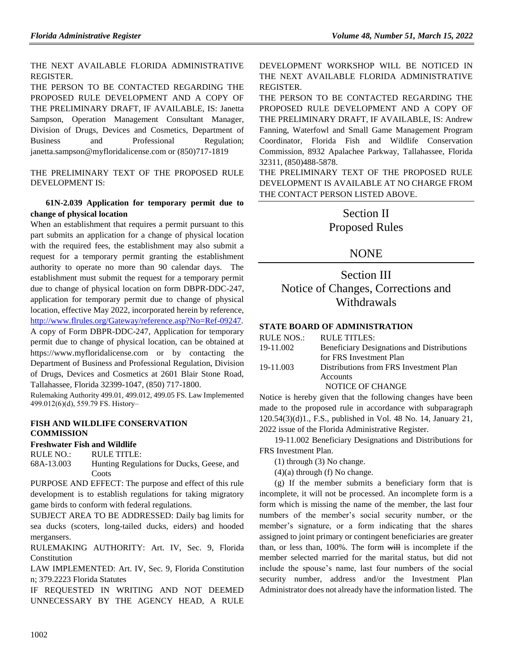## THE NEXT AVAILABLE FLORIDA ADMINISTRATIVE REGISTER.

THE PERSON TO BE CONTACTED REGARDING THE PROPOSED RULE DEVELOPMENT AND A COPY OF THE PRELIMINARY DRAFT, IF AVAILABLE, IS: Janetta Sampson, Operation Management Consultant Manager, Division of Drugs, Devices and Cosmetics, Department of Business and Professional Regulation; janetta.sampson@myfloridalicense.com or (850)717-1819

THE PRELIMINARY TEXT OF THE PROPOSED RULE DEVELOPMENT IS:

## **61N-2.039 Application for temporary permit due to change of physical location**

When an establishment that requires a permit pursuant to this part submits an application for a change of physical location with the required fees, the establishment may also submit a request for a temporary permit granting the establishment authority to operate no more than 90 calendar days. The establishment must submit the request for a temporary permit due to change of physical location on form DBPR-DDC-247, application for temporary permit due to change of physical location, effective May 2022, incorporated herein by reference, [http://www.flrules.org/Gateway/reference.asp?No=Ref-09247.](https://www.flrules.org/Gateway/reference.asp?No=Ref-09247) A copy of Form DBPR-DDC-247, Application for temporary permit due to change of physical location, can be obtained at https://www.myfloridalicense.com or by contacting the Department of Business and Professional Regulation, Division of Drugs, Devices and Cosmetics at 2601 Blair Stone Road, Tallahassee, Florida 32399-1047, (850) 717-1800.

Rulemaking Authority 499.01, 499.012, 499.05 FS. Law Implemented 499.012(6)(d), 559.79 FS. History‒

## **[FISH AND WILDLIFE CONSERVATION](https://www.flrules.org/gateway/department.asp?id=68)  [COMMISSION](https://www.flrules.org/gateway/department.asp?id=68)**

## **[Freshwater Fish and Wildlife](https://www.flrules.org/gateway/organization.asp?id=347)**

RULE NO.: RULE TITLE:

[68A-13.003](https://www.flrules.org/gateway/ruleNo.asp?id=68A-13.003) Hunting Regulations for Ducks, Geese, and **Coots** 

PURPOSE AND EFFECT: The purpose and effect of this rule development is to establish regulations for taking migratory game birds to conform with federal regulations.

SUBJECT AREA TO BE ADDRESSED: Daily bag limits for sea ducks (scoters, long-tailed ducks, eiders) and hooded mergansers.

RULEMAKING AUTHORITY: [Art. IV, Sec. 9, Florida](https://www.flrules.org/gateway/flconstitution.asp?id=Art.%20IV,%20Sec.%209,%20Florida%20Constitution)  [Constitution](https://www.flrules.org/gateway/flconstitution.asp?id=Art.%20IV,%20Sec.%209,%20Florida%20Constitution)

LAW IMPLEMENTED: [Art. IV, Sec. 9, Florida Constitution](https://www.flrules.org/gateway/flconstitution.asp?id=Art.%20IV,%20Sec.%209,%20Florida%20Constitution) [n; 379.2223 Florida Statutes](https://www.flrules.org/gateway/cfr.asp?id=n;%20379.2223%20Florida%20Statutes)

IF REQUESTED IN WRITING AND NOT DEEMED UNNECESSARY BY THE AGENCY HEAD, A RULE DEVELOPMENT WORKSHOP WILL BE NOTICED IN THE NEXT AVAILABLE FLORIDA ADMINISTRATIVE REGISTER.

THE PERSON TO BE CONTACTED REGARDING THE PROPOSED RULE DEVELOPMENT AND A COPY OF THE PRELIMINARY DRAFT, IF AVAILABLE, IS: Andrew Fanning, Waterfowl and Small Game Management Program Coordinator, Florida Fish and Wildlife Conservation Commission, 8932 Apalachee Parkway, Tallahassee, Florida 32311, (850)488-5878.

THE PRELIMINARY TEXT OF THE PROPOSED RULE DEVELOPMENT IS AVAILABLE AT NO CHARGE FROM THE CONTACT PERSON LISTED ABOVE.

## Section II Proposed Rules

## NONE

## Section III Notice of Changes, Corrections and **Withdrawals**

## **[STATE BOARD OF ADMINISTRATION](https://www.flrules.org/gateway/department.asp?id=19)**

| Beneficiary Designations and Distributions |
|--------------------------------------------|
|                                            |
| Distributions from FRS Investment Plan     |
|                                            |
|                                            |
|                                            |

Notice is hereby given that the following changes have been made to the proposed rule in accordance with subparagraph 120.54(3)(d)1., F.S., published in Vol. 48 No. 14, January 21, 2022 issue of the Florida Administrative Register.

19-11.002 Beneficiary Designations and Distributions for FRS Investment Plan.

(1) through (3) No change.

 $(4)(a)$  through  $(f)$  No change.

(g) If the member submits a beneficiary form that is incomplete, it will not be processed. An incomplete form is a form which is missing the name of the member, the last four numbers of the member's social security number, or the member's signature, or a form indicating that the shares assigned to joint primary or contingent beneficiaries are greater than, or less than, 100%. The form will is incomplete if the member selected married for the marital status, but did not include the spouse's name, last four numbers of the social security number, address and/or the Investment Plan Administrator does not already have the information listed. The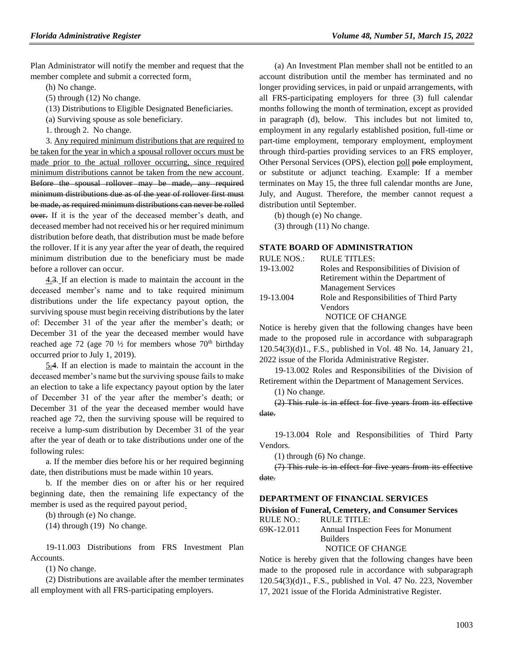Plan Administrator will notify the member and request that the member complete and submit a corrected form.

(h) No change.

(5) through (12) No change.

(13) Distributions to Eligible Designated Beneficiaries.

(a) Surviving spouse as sole beneficiary.

1. through 2. No change.

3. Any required minimum distributions that are required to be taken for the year in which a spousal rollover occurs must be made prior to the actual rollover occurring, since required minimum distributions cannot be taken from the new account. Before the spousal rollover may be made, any required minimum distributions due as of the year of rollover first must be made, as required minimum distributions can never be rolled over. If it is the year of the deceased member's death, and deceased member had not received his or her required minimum distribution before death, that distribution must be made before the rollover. If it is any year after the year of death, the required minimum distribution due to the beneficiary must be made before a rollover can occur.

4.3. If an election is made to maintain the account in the deceased member's name and to take required minimum distributions under the life expectancy payout option, the surviving spouse must begin receiving distributions by the later of: December 31 of the year after the member's death; or December 31 of the year the deceased member would have reached age 72 (age 70  $\frac{1}{2}$  for members whose 70<sup>th</sup> birthday occurred prior to July 1, 2019).

5.4. If an election is made to maintain the account in the deceased member's name but the surviving spouse fails to make an election to take a life expectancy payout option by the later of December 31 of the year after the member's death; or December 31 of the year the deceased member would have reached age 72, then the surviving spouse will be required to receive a lump-sum distribution by December 31 of the year after the year of death or to take distributions under one of the following rules:

a. If the member dies before his or her required beginning date, then distributions must be made within 10 years.

b. If the member dies on or after his or her required beginning date, then the remaining life expectancy of the member is used as the required payout period.

(b) through (e) No change.

(14) through (19) No change.

19-11.003 Distributions from FRS Investment Plan Accounts.

(1) No change.

(2) Distributions are available after the member terminates all employment with all FRS-participating employers.

(a) An Investment Plan member shall not be entitled to an account distribution until the member has terminated and no longer providing services, in paid or unpaid arrangements, with all FRS-participating employers for three (3) full calendar months following the month of termination, except as provided in paragraph (d), below. This includes but not limited to, employment in any regularly established position, full-time or part-time employment, temporary employment, employment through third-parties providing services to an FRS employer, Other Personal Services (OPS), election poll pole employment, or substitute or adjunct teaching. Example: If a member terminates on May 15, the three full calendar months are June, July, and August. Therefore, the member cannot request a distribution until September.

(b) though (e) No change.

(3) through (11) No change.

#### **[STATE BOARD OF ADMINISTRATION](https://www.flrules.org/gateway/department.asp?id=19)**

| <b>RULE NOS.:</b> | <b>RULE TITLES:</b>                       |
|-------------------|-------------------------------------------|
| 19-13.002         | Roles and Responsibilities of Division of |
|                   | Retirement within the Department of       |
|                   | <b>Management Services</b>                |
| 19-13.004         | Role and Responsibilities of Third Party  |
|                   | Vendors                                   |
|                   | <b>NOTICE OF CHANGE</b>                   |

Notice is hereby given that the following changes have been made to the proposed rule in accordance with subparagraph 120.54(3)(d)1., F.S., published in Vol. 48 No. 14, January 21, 2022 issue of the Florida Administrative Register.

19-13.002 Roles and Responsibilities of the Division of Retirement within the Department of Management Services.

(1) No change.

(2) This rule is in effect for five years from its effective date.

19-13.004 Role and Responsibilities of Third Party Vendors.

(1) through (6) No change.

(7) This rule is in effect for five years from its effective date.

### **[DEPARTMENT OF FINANCIAL SERVICES](https://www.flrules.org/gateway/department.asp?id=69)**

#### **[Division of Funeral, Cemetery, and Consumer Services](https://www.flrules.org/gateway/organization.asp?id=369)**  $RU \cap N$   $\Omega$ . RULE TITLE

| KULE NO.:  | KULE IIILE:                         |
|------------|-------------------------------------|
| 69K-12.011 | Annual Inspection Fees for Monument |
|            | <b>Builders</b>                     |
|            | NOTICE OF CHANGE                    |

Notice is hereby given that the following changes have been made to the proposed rule in accordance with subparagraph 120.54(3)(d)1., F.S., published in Vol. 47 No. 223, November 17, 2021 issue of the Florida Administrative Register.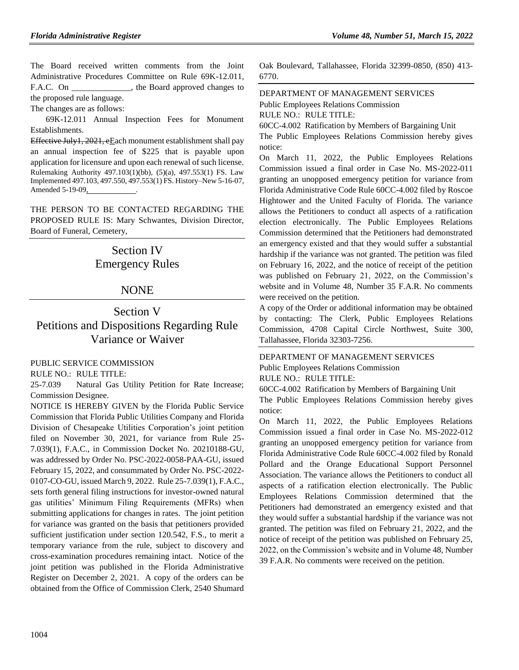The Board received written comments from the Joint Administrative Procedures Committee on Rule 69K-12.011, F.A.C. On \_\_\_\_\_\_\_\_\_\_\_\_\_, the Board approved changes to the proposed rule language.

The changes are as follows:

69K-12.011 Annual Inspection Fees for Monument Establishments.

Effective July1, 2021, eEach monument establishment shall pay an annual inspection fee of \$225 that is payable upon application for licensure and upon each renewal of such license. Rulemaking Authority 497.103(1)(bb), (5)(a), 497.553(1) FS. Law Implemented 497.103, 497.550, 497.553(1) FS. History–New 5-16-07, Amended 5-19-09, .

THE PERSON TO BE CONTACTED REGARDING THE PROPOSED RULE IS: Mary Schwantes, Division Director, Board of Funeral, Cemetery,

## Section IV Emergency Rules

## NONE

## Section V Petitions and Dispositions Regarding Rule Variance or Waiver

## [PUBLIC SERVICE COMMISSION](https://www.flrules.org/gateway/department.asp?id=25)

RULE NO.: RULE TITLE:

25-7.039 Natural Gas Utility Petition for Rate Increase; Commission Designee.

NOTICE IS HEREBY GIVEN by the Florida Public Service Commission that Florida Public Utilities Company and Florida Division of Chesapeake Utilities Corporation's joint petition filed on November 30, 2021, for variance from Rule 25- 7.039(1), F.A.C., in Commission Docket No. 20210188-GU, was addressed by Order No. PSC-2022-0058-PAA-GU, issued February 15, 2022, and consummated by Order No. PSC-2022- 0107-CO-GU, issued March 9, 2022. Rule 25-7.039(1), F.A.C., sets forth general filing instructions for investor-owned natural gas utilities' Minimum Filing Requirements (MFRs) when submitting applications for changes in rates. The joint petition for variance was granted on the basis that petitioners provided sufficient justification under section 120.542, F.S., to merit a temporary variance from the rule, subject to discovery and cross-examination procedures remaining intact. Notice of the joint petition was published in the Florida Administrative Register on December 2, 2021. A copy of the orders can be obtained from the Office of Commission Clerk, 2540 Shumard Oak Boulevard, Tallahassee, Florida 32399-0850, (850) 413- 6770.

## [DEPARTMENT OF MANAGEMENT SERVICES](https://www.flrules.org/gateway/department.asp?id=60)

[Public Employees Relations Commission](https://www.flrules.org/gateway/organization.asp?id=502)

RULE NO.: RULE TITLE:

[60CC-4.002](https://www.flrules.org/gateway/ruleNo.asp?id=60CC-4.002) Ratification by Members of Bargaining Unit

The Public Employees Relations Commission hereby gives notice:

On March 11, 2022, the Public Employees Relations Commission issued a final order in Case No. MS-2022-011 granting an unopposed emergency petition for variance from Florida Administrative Code Rule 60CC-4.002 filed by Roscoe Hightower and the United Faculty of Florida. The variance allows the Petitioners to conduct all aspects of a ratification election electronically. The Public Employees Relations Commission determined that the Petitioners had demonstrated an emergency existed and that they would suffer a substantial hardship if the variance was not granted. The petition was filed on February 16, 2022, and the notice of receipt of the petition was published on February 21, 2022, on the Commission's website and in Volume 48, Number 35 F.A.R. No comments were received on the petition.

A copy of the Order or additional information may be obtained by contacting: The Clerk, Public Employees Relations Commission, 4708 Capital Circle Northwest, Suite 300, Tallahassee, Florida 32303-7256.

## [DEPARTMENT OF MANAGEMENT SERVICES](https://www.flrules.org/gateway/department.asp?id=60) [Public Employees Relations Commission](https://www.flrules.org/gateway/organization.asp?id=502) RULE NO.: RULE TITLE:

[60CC-4.002](https://www.flrules.org/gateway/ruleNo.asp?id=60CC-4.002) Ratification by Members of Bargaining Unit The Public Employees Relations Commission hereby gives notice:

On March 11, 2022, the Public Employees Relations Commission issued a final order in Case No. MS-2022-012 granting an unopposed emergency petition for variance from Florida Administrative Code Rule 60CC-4.002 filed by Ronald Pollard and the Orange Educational Support Personnel Association. The variance allows the Petitioners to conduct all aspects of a ratification election electronically. The Public Employees Relations Commission determined that the Petitioners had demonstrated an emergency existed and that they would suffer a substantial hardship if the variance was not granted. The petition was filed on February 21, 2022, and the notice of receipt of the petition was published on February 25, 2022, on the Commission's website and in Volume 48, Number 39 F.A.R. No comments were received on the petition.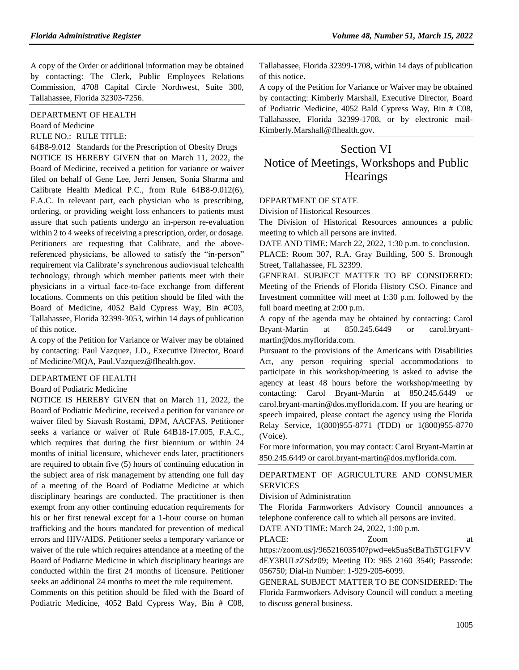A copy of the Order or additional information may be obtained by contacting: The Clerk, Public Employees Relations Commission, 4708 Capital Circle Northwest, Suite 300, Tallahassee, Florida 32303-7256.

[DEPARTMENT OF HEALTH](https://www.flrules.org/gateway/department.asp?id=64)

[Board of Medicine](https://www.flrules.org/gateway/organization.asp?id=331)

RULE NO.: RULE TITLE:

[64B8-9.012](https://www.flrules.org/gateway/ruleNo.asp?id=64B8-9.012) Standards for the Prescription of Obesity Drugs NOTICE IS HEREBY GIVEN that on March 11, 2022, the Board of Medicine, received a petition for variance or waiver filed on behalf of Gene Lee, Jerri Jensen, Sonia Sharma and Calibrate Health Medical P.C., from Rule 64B8-9.012(6), F.A.C. In relevant part, each physician who is prescribing, ordering, or providing weight loss enhancers to patients must assure that such patients undergo an in-person re-evaluation within 2 to 4 weeks of receiving a prescription, order, or dosage. Petitioners are requesting that Calibrate, and the abovereferenced physicians, be allowed to satisfy the "in-person" requirement via Calibrate's synchronous audiovisual telehealth technology, through which member patients meet with their physicians in a virtual face-to-face exchange from different locations. Comments on this petition should be filed with the Board of Medicine, 4052 Bald Cypress Way, Bin #C03, Tallahassee, Florida 32399-3053, within 14 days of publication of this notice.

A copy of the Petition for Variance or Waiver may be obtained by contacting: Paul Vazquez, J.D., Executive Director, Board of Medicine/MQA, Paul.Vazquez@flhealth.gov.

## [DEPARTMENT OF HEALTH](https://www.flrules.org/gateway/department.asp?id=64)

#### [Board of Podiatric Medicine](https://www.flrules.org/gateway/organization.asp?id=309)

NOTICE IS HEREBY GIVEN that on March 11, 2022, the Board of Podiatric Medicine, received a petition for variance or waiver filed by Siavash Rostami, DPM, AACFAS. Petitioner seeks a variance or waiver of Rule 64B18-17.005, F.A.C., which requires that during the first biennium or within 24 months of initial licensure, whichever ends later, practitioners are required to obtain five (5) hours of continuing education in the subject area of risk management by attending one full day of a meeting of the Board of Podiatric Medicine at which disciplinary hearings are conducted. The practitioner is then exempt from any other continuing education requirements for his or her first renewal except for a 1-hour course on human trafficking and the hours mandated for prevention of medical errors and HIV/AIDS. Petitioner seeks a temporary variance or waiver of the rule which requires attendance at a meeting of the Board of Podiatric Medicine in which disciplinary hearings are conducted within the first 24 months of licensure. Petitioner seeks an additional 24 months to meet the rule requirement.

Comments on this petition should be filed with the Board of Podiatric Medicine, 4052 Bald Cypress Way, Bin # C08,

Tallahassee, Florida 32399-1708, within 14 days of publication of this notice.

A copy of the Petition for Variance or Waiver may be obtained by contacting: Kimberly Marshall, Executive Director, Board of Podiatric Medicine, 4052 Bald Cypress Way, Bin # C08, Tallahassee, Florida 32399-1708, or by electronic mail-Kimberly.Marshall@flhealth.gov.

## Section VI Notice of Meetings, Workshops and Public **Hearings**

#### [DEPARTMENT OF STATE](https://www.flrules.org/gateway/department.asp?id=1)

[Division of Historical Resources](https://www.flrules.org/gateway/organization.asp?id=1)

The Division of Historical Resources announces a public meeting to which all persons are invited.

DATE AND TIME: March 22, 2022, 1:30 p.m. to conclusion.

PLACE: Room 307, R.A. Gray Building, 500 S. Bronough Street, Tallahassee, FL 32399.

GENERAL SUBJECT MATTER TO BE CONSIDERED: Meeting of the Friends of Florida History CSO. Finance and Investment committee will meet at 1:30 p.m. followed by the full board meeting at 2:00 p.m.

A copy of the agenda may be obtained by contacting: Carol Bryant-Martin at 850.245.6449 or carol.bryantmartin@dos.myflorida.com.

Pursuant to the provisions of the Americans with Disabilities Act, any person requiring special accommodations to participate in this workshop/meeting is asked to advise the agency at least 48 hours before the workshop/meeting by contacting: Carol Bryant-Martin at 850.245.6449 or carol.bryant-martin@dos.myflorida.com. If you are hearing or speech impaired, please contact the agency using the Florida Relay Service, 1(800)955-8771 (TDD) or 1(800)955-8770 (Voice).

For more information, you may contact: Carol Bryant-Martin at 850.245.6449 or carol.bryant-martin@dos.myflorida.com.

## [DEPARTMENT OF AGRICULTURE AND CONSUMER](https://www.flrules.org/gateway/department.asp?id=5)  [SERVICES](https://www.flrules.org/gateway/department.asp?id=5)

[Division of Administration](https://www.flrules.org/gateway/organization.asp?id=161)

The Florida Farmworkers Advisory Council announces a telephone conference call to which all persons are invited.

DATE AND TIME: March 24, 2022, 1:00 p.m.

PLACE:  $Zoom$  at

https://zoom.us/j/96521603540?pwd=ek5uaStBaTh5TG1FVV dEY3BULzZSdz09; Meeting ID: 965 2160 3540; Passcode: 056750; Dial-in Number: 1-929-205-6099.

GENERAL SUBJECT MATTER TO BE CONSIDERED: The Florida Farmworkers Advisory Council will conduct a meeting to discuss general business.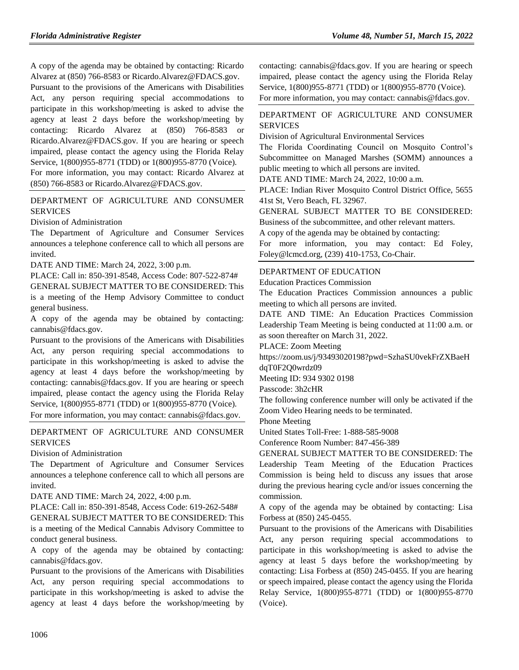A copy of the agenda may be obtained by contacting: Ricardo Alvarez at (850) 766-8583 or Ricardo.Alvarez@FDACS.gov.

Pursuant to the provisions of the Americans with Disabilities Act, any person requiring special accommodations to participate in this workshop/meeting is asked to advise the agency at least 2 days before the workshop/meeting by contacting: Ricardo Alvarez at (850) 766-8583 or Ricardo.Alvarez@FDACS.gov. If you are hearing or speech impaired, please contact the agency using the Florida Relay Service, 1(800)955-8771 (TDD) or 1(800)955-8770 (Voice).

For more information, you may contact: Ricardo Alvarez at (850) 766-8583 or Ricardo.Alvarez@FDACS.gov.

## [DEPARTMENT OF AGRICULTURE AND CONSUMER](https://www.flrules.org/gateway/department.asp?id=5)  [SERVICES](https://www.flrules.org/gateway/department.asp?id=5)

[Division of Administration](https://www.flrules.org/gateway/organization.asp?id=161)

The Department of Agriculture and Consumer Services announces a telephone conference call to which all persons are invited.

DATE AND TIME: March 24, 2022, 3:00 p.m.

PLACE: Call in: 850-391-8548, Access Code: 807-522-874# GENERAL SUBJECT MATTER TO BE CONSIDERED: This is a meeting of the Hemp Advisory Committee to conduct general business.

A copy of the agenda may be obtained by contacting: cannabis@fdacs.gov.

Pursuant to the provisions of the Americans with Disabilities Act, any person requiring special accommodations to participate in this workshop/meeting is asked to advise the agency at least 4 days before the workshop/meeting by contacting: cannabis@fdacs.gov. If you are hearing or speech impaired, please contact the agency using the Florida Relay Service, 1(800)955-8771 (TDD) or 1(800)955-8770 (Voice). For more information, you may contact: cannabis@fdacs.gov.

## [DEPARTMENT OF AGRICULTURE AND CONSUMER](https://www.flrules.org/gateway/department.asp?id=5)  [SERVICES](https://www.flrules.org/gateway/department.asp?id=5)

[Division of Administration](https://www.flrules.org/gateway/organization.asp?id=161)

The Department of Agriculture and Consumer Services announces a telephone conference call to which all persons are invited.

DATE AND TIME: March 24, 2022, 4:00 p.m.

PLACE: Call in: 850-391-8548, Access Code: 619-262-548#

GENERAL SUBJECT MATTER TO BE CONSIDERED: This is a meeting of the Medical Cannabis Advisory Committee to conduct general business.

A copy of the agenda may be obtained by contacting: cannabis@fdacs.gov.

Pursuant to the provisions of the Americans with Disabilities Act, any person requiring special accommodations to participate in this workshop/meeting is asked to advise the agency at least 4 days before the workshop/meeting by contacting: cannabis@fdacs.gov. If you are hearing or speech impaired, please contact the agency using the Florida Relay Service, 1(800)955-8771 (TDD) or 1(800)955-8770 (Voice). For more information, you may contact: cannabis@fdacs.gov.

## [DEPARTMENT OF AGRICULTURE AND CONSUMER](https://www.flrules.org/gateway/department.asp?id=5)  [SERVICES](https://www.flrules.org/gateway/department.asp?id=5)

[Division of Agricultural Environmental Services](https://www.flrules.org/gateway/organization.asp?id=165)

The Florida Coordinating Council on Mosquito Control's Subcommittee on Managed Marshes (SOMM) announces a public meeting to which all persons are invited.

DATE AND TIME: March 24, 2022, 10:00 a.m.

PLACE: Indian River Mosquito Control District Office, 5655 41st St, Vero Beach, FL 32967.

GENERAL SUBJECT MATTER TO BE CONSIDERED: Business of the subcommittee, and other relevant matters.

A copy of the agenda may be obtained by contacting:

For more information, you may contact: Ed Foley, Foley@lcmcd.org, (239) 410-1753, Co-Chair.

## [DEPARTMENT OF EDUCATION](https://www.flrules.org/gateway/department.asp?id=6)

[Education Practices Commission](https://www.flrules.org/gateway/organization.asp?id=196)

The Education Practices Commission announces a public meeting to which all persons are invited.

DATE AND TIME: An Education Practices Commission Leadership Team Meeting is being conducted at 11:00 a.m. or as soon thereafter on March 31, 2022.

PLACE: Zoom Meeting

https://zoom.us/j/93493020198?pwd=SzhaSU0vekFrZXBaeH dqT0F2Q0wrdz09

Meeting ID: 934 9302 0198

Passcode: 3h2cHR

The following conference number will only be activated if the Zoom Video Hearing needs to be terminated.

Phone Meeting

United States Toll-Free: 1-888-585-9008

Conference Room Number: 847-456-389

GENERAL SUBJECT MATTER TO BE CONSIDERED: The Leadership Team Meeting of the Education Practices Commission is being held to discuss any issues that arose during the previous hearing cycle and/or issues concerning the commission.

A copy of the agenda may be obtained by contacting: Lisa Forbess at (850) 245-0455.

Pursuant to the provisions of the Americans with Disabilities Act, any person requiring special accommodations to participate in this workshop/meeting is asked to advise the agency at least 5 days before the workshop/meeting by contacting: Lisa Forbess at (850) 245-0455. If you are hearing or speech impaired, please contact the agency using the Florida Relay Service, 1(800)955-8771 (TDD) or 1(800)955-8770 (Voice).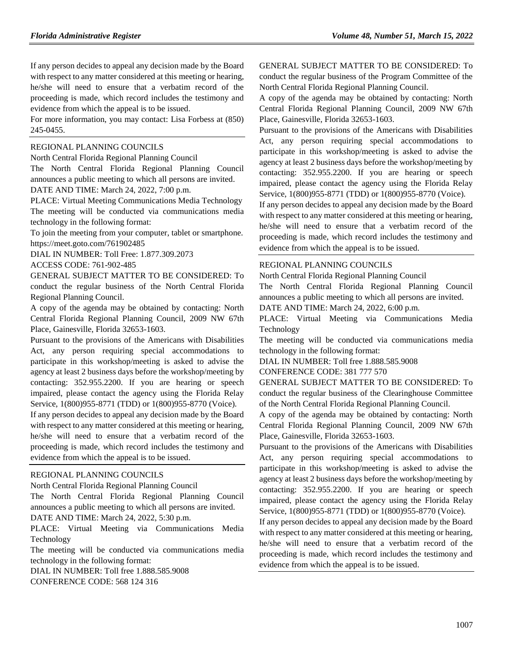If any person decides to appeal any decision made by the Board with respect to any matter considered at this meeting or hearing, he/she will need to ensure that a verbatim record of the proceeding is made, which record includes the testimony and evidence from which the appeal is to be issued.

For more information, you may contact: Lisa Forbess at (850) 245-0455.

#### [REGIONAL PLANNING COUNCILS](https://www.flrules.org/gateway/department.asp?id=29)

[North Central Florida Regional Planning Council](https://www.flrules.org/gateway/organization.asp?id=59)

The North Central Florida Regional Planning Council announces a public meeting to which all persons are invited. DATE AND TIME: March 24, 2022, 7:00 p.m.

PLACE: Virtual Meeting Communications Media Technology The meeting will be conducted via communications media technology in the following format:

To join the meeting from your computer, tablet or smartphone. https://meet.goto.com/761902485

DIAL IN NUMBER: Toll Free: 1.877.309.2073

ACCESS CODE: 761-902-485

GENERAL SUBJECT MATTER TO BE CONSIDERED: To conduct the regular business of the North Central Florida Regional Planning Council.

A copy of the agenda may be obtained by contacting: North Central Florida Regional Planning Council, 2009 NW 67th Place, Gainesville, Florida 32653-1603.

Pursuant to the provisions of the Americans with Disabilities Act, any person requiring special accommodations to participate in this workshop/meeting is asked to advise the agency at least 2 business days before the workshop/meeting by contacting: 352.955.2200. If you are hearing or speech impaired, please contact the agency using the Florida Relay Service, 1(800)955-8771 (TDD) or 1(800)955-8770 (Voice).

If any person decides to appeal any decision made by the Board with respect to any matter considered at this meeting or hearing, he/she will need to ensure that a verbatim record of the proceeding is made, which record includes the testimony and evidence from which the appeal is to be issued.

## [REGIONAL PLANNING COUNCILS](https://www.flrules.org/gateway/department.asp?id=29)

[North Central Florida Regional Planning Council](https://www.flrules.org/gateway/organization.asp?id=59)

The North Central Florida Regional Planning Council announces a public meeting to which all persons are invited.

DATE AND TIME: March 24, 2022, 5:30 p.m.

PLACE: Virtual Meeting via Communications Media Technology

The meeting will be conducted via communications media technology in the following format:

DIAL IN NUMBER: Toll free 1.888.585.9008 CONFERENCE CODE: 568 124 316

GENERAL SUBJECT MATTER TO BE CONSIDERED: To conduct the regular business of the Program Committee of the North Central Florida Regional Planning Council.

A copy of the agenda may be obtained by contacting: North Central Florida Regional Planning Council, 2009 NW 67th Place, Gainesville, Florida 32653-1603.

Pursuant to the provisions of the Americans with Disabilities Act, any person requiring special accommodations to participate in this workshop/meeting is asked to advise the agency at least 2 business days before the workshop/meeting by contacting: 352.955.2200. If you are hearing or speech impaired, please contact the agency using the Florida Relay Service, 1(800)955-8771 (TDD) or 1(800)955-8770 (Voice).

If any person decides to appeal any decision made by the Board with respect to any matter considered at this meeting or hearing, he/she will need to ensure that a verbatim record of the proceeding is made, which record includes the testimony and evidence from which the appeal is to be issued.

#### [REGIONAL PLANNING COUNCILS](https://www.flrules.org/gateway/department.asp?id=29)

[North Central Florida Regional Planning Council](https://www.flrules.org/gateway/organization.asp?id=59)

The North Central Florida Regional Planning Council announces a public meeting to which all persons are invited.

DATE AND TIME: March 24, 2022, 6:00 p.m.

PLACE: Virtual Meeting via Communications Media Technology

The meeting will be conducted via communications media technology in the following format:

DIAL IN NUMBER: Toll free 1.888.585.9008

CONFERENCE CODE: 381 777 570

GENERAL SUBJECT MATTER TO BE CONSIDERED: To conduct the regular business of the Clearinghouse Committee of the North Central Florida Regional Planning Council.

A copy of the agenda may be obtained by contacting: North Central Florida Regional Planning Council, 2009 NW 67th Place, Gainesville, Florida 32653-1603.

Pursuant to the provisions of the Americans with Disabilities Act, any person requiring special accommodations to participate in this workshop/meeting is asked to advise the agency at least 2 business days before the workshop/meeting by contacting: 352.955.2200. If you are hearing or speech impaired, please contact the agency using the Florida Relay Service, 1(800)955-8771 (TDD) or 1(800)955-8770 (Voice).

If any person decides to appeal any decision made by the Board with respect to any matter considered at this meeting or hearing, he/she will need to ensure that a verbatim record of the proceeding is made, which record includes the testimony and evidence from which the appeal is to be issued.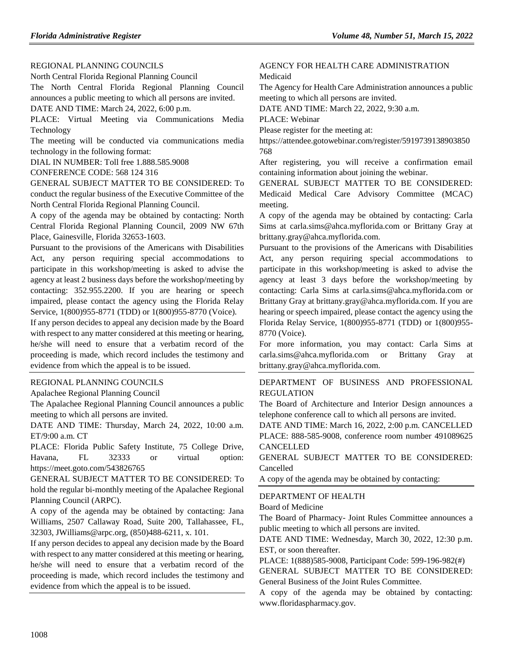### [REGIONAL PLANNING COUNCILS](https://www.flrules.org/gateway/department.asp?id=29)

[North Central Florida Regional Planning Council](https://www.flrules.org/gateway/organization.asp?id=59)

The North Central Florida Regional Planning Council announces a public meeting to which all persons are invited. DATE AND TIME: March 24, 2022, 6:00 p.m.

PLACE: Virtual Meeting via Communications Media Technology

The meeting will be conducted via communications media technology in the following format:

DIAL IN NUMBER: Toll free 1.888.585.9008

CONFERENCE CODE: 568 124 316

GENERAL SUBJECT MATTER TO BE CONSIDERED: To conduct the regular business of the Executive Committee of the North Central Florida Regional Planning Council.

A copy of the agenda may be obtained by contacting: North Central Florida Regional Planning Council, 2009 NW 67th Place, Gainesville, Florida 32653-1603.

Pursuant to the provisions of the Americans with Disabilities Act, any person requiring special accommodations to participate in this workshop/meeting is asked to advise the agency at least 2 business days before the workshop/meeting by contacting: 352.955.2200. If you are hearing or speech impaired, please contact the agency using the Florida Relay Service, 1(800)955-8771 (TDD) or 1(800)955-8770 (Voice).

If any person decides to appeal any decision made by the Board with respect to any matter considered at this meeting or hearing, he/she will need to ensure that a verbatim record of the proceeding is made, which record includes the testimony and evidence from which the appeal is to be issued.

### [REGIONAL PLANNING COUNCILS](https://www.flrules.org/gateway/department.asp?id=29)

[Apalachee Regional Planning Council](https://www.flrules.org/gateway/organization.asp?id=68)

The Apalachee Regional Planning Council announces a public meeting to which all persons are invited.

DATE AND TIME: Thursday, March 24, 2022, 10:00 a.m. ET/9:00 a.m. CT

PLACE: Florida Public Safety Institute, 75 College Drive, Havana, FL 32333 or virtual option: https://meet.goto.com/543826765

GENERAL SUBJECT MATTER TO BE CONSIDERED: To hold the regular bi-monthly meeting of the Apalachee Regional Planning Council (ARPC).

A copy of the agenda may be obtained by contacting: Jana Williams, 2507 Callaway Road, Suite 200, Tallahassee, FL, 32303, JWilliams@arpc.org, (850)488-6211, x. 101.

If any person decides to appeal any decision made by the Board with respect to any matter considered at this meeting or hearing, he/she will need to ensure that a verbatim record of the proceeding is made, which record includes the testimony and evidence from which the appeal is to be issued.

## [AGENCY FOR HEALTH CARE ADMINISTRATION](https://www.flrules.org/gateway/department.asp?id=59) [Medicaid](https://www.flrules.org/gateway/organization.asp?id=192)

The Agency for Health Care Administration announces a public meeting to which all persons are invited.

DATE AND TIME: March 22, 2022, 9:30 a.m.

PLACE: Webinar

Please register for the meeting at:

https://attendee.gotowebinar.com/register/5919739138903850 768

After registering, you will receive a confirmation email containing information about joining the webinar.

GENERAL SUBJECT MATTER TO BE CONSIDERED: Medicaid Medical Care Advisory Committee (MCAC) meeting.

A copy of the agenda may be obtained by contacting: Carla Sims at carla.sims@ahca.myflorida.com or Brittany Gray at brittany.gray@ahca.myflorida.com.

Pursuant to the provisions of the Americans with Disabilities Act, any person requiring special accommodations to participate in this workshop/meeting is asked to advise the agency at least 3 days before the workshop/meeting by contacting: Carla Sims at carla.sims@ahca.myflorida.com or Brittany Gray at brittany.gray@ahca.myflorida.com. If you are hearing or speech impaired, please contact the agency using the Florida Relay Service, 1(800)955-8771 (TDD) or 1(800)955- 8770 (Voice).

For more information, you may contact: Carla Sims at carla.sims@ahca.myflorida.com or Brittany Gray at brittany.gray@ahca.myflorida.com.

## [DEPARTMENT OF BUSINESS AND PROFESSIONAL](https://www.flrules.org/gateway/department.asp?id=61)  [REGULATION](https://www.flrules.org/gateway/department.asp?id=61)

The Board of Architecture and Interior Design announces a telephone conference call to which all persons are invited.

DATE AND TIME: March 16, 2022, 2:00 p.m. CANCELLED PLACE: 888-585-9008, conference room number 491089625 CANCELLED

GENERAL SUBJECT MATTER TO BE CONSIDERED: Cancelled

A copy of the agenda may be obtained by contacting:

## [DEPARTMENT OF HEALTH](https://www.flrules.org/gateway/department.asp?id=64)

[Board of Medicine](https://www.flrules.org/gateway/organization.asp?id=331)

The Board of Pharmacy- Joint Rules Committee announces a public meeting to which all persons are invited.

DATE AND TIME: Wednesday, March 30, 2022, 12:30 p.m. EST, or soon thereafter.

PLACE: 1(888)585-9008, Participant Code: 599-196-982(#)

GENERAL SUBJECT MATTER TO BE CONSIDERED: General Business of the Joint Rules Committee.

A copy of the agenda may be obtained by contacting: www.floridaspharmacy.gov.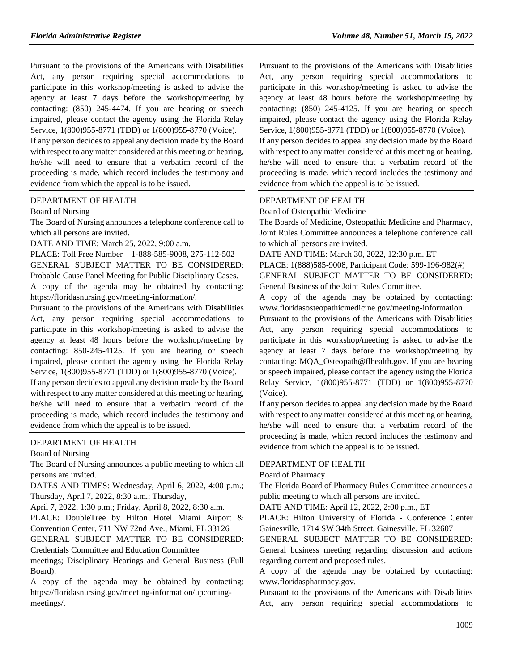Pursuant to the provisions of the Americans with Disabilities Act, any person requiring special accommodations to participate in this workshop/meeting is asked to advise the agency at least 7 days before the workshop/meeting by contacting: (850) 245-4474. If you are hearing or speech impaired, please contact the agency using the Florida Relay Service, 1(800)955-8771 (TDD) or 1(800)955-8770 (Voice).

If any person decides to appeal any decision made by the Board with respect to any matter considered at this meeting or hearing, he/she will need to ensure that a verbatim record of the proceeding is made, which record includes the testimony and evidence from which the appeal is to be issued.

#### [DEPARTMENT OF HEALTH](https://www.flrules.org/gateway/department.asp?id=64)

#### [Board of Nursing](https://www.flrules.org/gateway/organization.asp?id=332)

The Board of Nursing announces a telephone conference call to which all persons are invited.

DATE AND TIME: March 25, 2022, 9:00 a.m.

PLACE: Toll Free Number – 1-888-585-9008, 275-112-502

GENERAL SUBJECT MATTER TO BE CONSIDERED:

Probable Cause Panel Meeting for Public Disciplinary Cases. A copy of the agenda may be obtained by contacting: https://floridasnursing.gov/meeting-information/.

Pursuant to the provisions of the Americans with Disabilities Act, any person requiring special accommodations to participate in this workshop/meeting is asked to advise the agency at least 48 hours before the workshop/meeting by contacting: 850-245-4125. If you are hearing or speech impaired, please contact the agency using the Florida Relay Service, 1(800)955-8771 (TDD) or 1(800)955-8770 (Voice).

If any person decides to appeal any decision made by the Board with respect to any matter considered at this meeting or hearing, he/she will need to ensure that a verbatim record of the proceeding is made, which record includes the testimony and evidence from which the appeal is to be issued.

## [DEPARTMENT OF HEALTH](https://www.flrules.org/gateway/department.asp?id=64)

[Board of Nursing](https://www.flrules.org/gateway/organization.asp?id=332)

The Board of Nursing announces a public meeting to which all persons are invited.

DATES AND TIMES: Wednesday, April 6, 2022, 4:00 p.m.; Thursday, April 7, 2022, 8:30 a.m.; Thursday,

April 7, 2022, 1:30 p.m.; Friday, April 8, 2022, 8:30 a.m.

PLACE: DoubleTree by Hilton Hotel Miami Airport & Convention Center, 711 NW 72nd Ave., Miami, FL 33126 GENERAL SUBJECT MATTER TO BE CONSIDERED:

Credentials Committee and Education Committee

meetings; Disciplinary Hearings and General Business (Full Board).

A copy of the agenda may be obtained by contacting: https://floridasnursing.gov/meeting-information/upcomingmeetings/.

Pursuant to the provisions of the Americans with Disabilities Act, any person requiring special accommodations to participate in this workshop/meeting is asked to advise the agency at least 48 hours before the workshop/meeting by contacting: (850) 245-4125. If you are hearing or speech impaired, please contact the agency using the Florida Relay Service, 1(800)955-8771 (TDD) or 1(800)955-8770 (Voice). If any person decides to appeal any decision made by the Board with respect to any matter considered at this meeting or hearing,

he/she will need to ensure that a verbatim record of the proceeding is made, which record includes the testimony and evidence from which the appeal is to be issued.

#### [DEPARTMENT OF HEALTH](https://www.flrules.org/gateway/department.asp?id=64)

[Board of Osteopathic Medicine](https://www.flrules.org/gateway/organization.asp?id=306)

The Boards of Medicine, Osteopathic Medicine and Pharmacy, Joint Rules Committee announces a telephone conference call to which all persons are invited.

DATE AND TIME: March 30, 2022, 12:30 p.m. ET

PLACE: 1(888)585-9008, Participant Code: 599-196-982(#) GENERAL SUBJECT MATTER TO BE CONSIDERED: General Business of the Joint Rules Committee.

A copy of the agenda may be obtained by contacting: www.floridasosteopathicmedicine.gov/meeting-information

Pursuant to the provisions of the Americans with Disabilities Act, any person requiring special accommodations to participate in this workshop/meeting is asked to advise the agency at least 7 days before the workshop/meeting by contacting: MQA\_Osteopath@flhealth.gov. If you are hearing or speech impaired, please contact the agency using the Florida Relay Service, 1(800)955-8771 (TDD) or 1(800)955-8770 (Voice).

If any person decides to appeal any decision made by the Board with respect to any matter considered at this meeting or hearing, he/she will need to ensure that a verbatim record of the proceeding is made, which record includes the testimony and evidence from which the appeal is to be issued.

#### [DEPARTMENT OF HEALTH](https://www.flrules.org/gateway/department.asp?id=64)

#### [Board of Pharmacy](https://www.flrules.org/gateway/organization.asp?id=307)

The Florida Board of Pharmacy Rules Committee announces a public meeting to which all persons are invited.

DATE AND TIME: April 12, 2022, 2:00 p.m., ET

PLACE: Hilton University of Florida - Conference Center Gainesville, 1714 SW 34th Street, Gainesville, FL 32607

GENERAL SUBJECT MATTER TO BE CONSIDERED: General business meeting regarding discussion and actions regarding current and proposed rules.

A copy of the agenda may be obtained by contacting: www.floridaspharmacy.gov.

Pursuant to the provisions of the Americans with Disabilities Act, any person requiring special accommodations to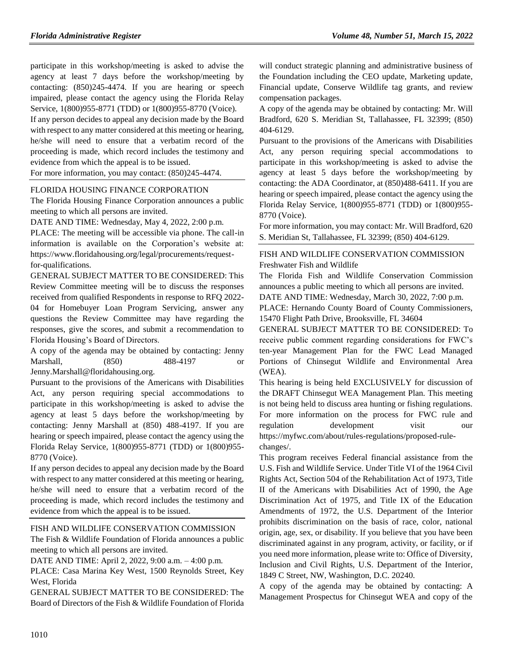participate in this workshop/meeting is asked to advise the agency at least 7 days before the workshop/meeting by contacting: (850)245-4474. If you are hearing or speech impaired, please contact the agency using the Florida Relay Service, 1(800)955-8771 (TDD) or 1(800)955-8770 (Voice).

If any person decides to appeal any decision made by the Board with respect to any matter considered at this meeting or hearing, he/she will need to ensure that a verbatim record of the proceeding is made, which record includes the testimony and evidence from which the appeal is to be issued.

For more information, you may contact: (850)245-4474.

### [FLORIDA HOUSING FINANCE CORPORATION](https://www.flrules.org/gateway/department.asp?id=67)

The Florida Housing Finance Corporation announces a public meeting to which all persons are invited.

DATE AND TIME: Wednesday, May 4, 2022, 2:00 p.m.

PLACE: The meeting will be accessible via phone. The call-in information is available on the Corporation's website at: https://www.floridahousing.org/legal/procurements/requestfor-qualifications.

GENERAL SUBJECT MATTER TO BE CONSIDERED: This Review Committee meeting will be to discuss the responses received from qualified Respondents in response to RFQ 2022- 04 for Homebuyer Loan Program Servicing, answer any questions the Review Committee may have regarding the responses, give the scores, and submit a recommendation to Florida Housing's Board of Directors.

A copy of the agenda may be obtained by contacting: Jenny Marshall, (850) 488-4197 or Jenny.Marshall@floridahousing.org.

Pursuant to the provisions of the Americans with Disabilities Act, any person requiring special accommodations to participate in this workshop/meeting is asked to advise the agency at least 5 days before the workshop/meeting by contacting: Jenny Marshall at (850) 488-4197. If you are hearing or speech impaired, please contact the agency using the Florida Relay Service, 1(800)955-8771 (TDD) or 1(800)955- 8770 (Voice).

If any person decides to appeal any decision made by the Board with respect to any matter considered at this meeting or hearing, he/she will need to ensure that a verbatim record of the proceeding is made, which record includes the testimony and evidence from which the appeal is to be issued.

## [FISH AND WILDLIFE CONSERVATION COMMISSION](https://www.flrules.org/gateway/department.asp?id=68)

The Fish & Wildlife Foundation of Florida announces a public meeting to which all persons are invited.

DATE AND TIME: April 2, 2022, 9:00 a.m. – 4:00 p.m.

PLACE: Casa Marina Key West, 1500 Reynolds Street, Key West, Florida

GENERAL SUBJECT MATTER TO BE CONSIDERED: The Board of Directors of the Fish & Wildlife Foundation of Florida will conduct strategic planning and administrative business of the Foundation including the CEO update, Marketing update, Financial update, Conserve Wildlife tag grants, and review compensation packages.

A copy of the agenda may be obtained by contacting: Mr. Will Bradford, 620 S. Meridian St, Tallahassee, FL 32399; (850) 404-6129.

Pursuant to the provisions of the Americans with Disabilities Act, any person requiring special accommodations to participate in this workshop/meeting is asked to advise the agency at least 5 days before the workshop/meeting by contacting: the ADA Coordinator, at (850)488-6411. If you are hearing or speech impaired, please contact the agency using the Florida Relay Service, 1(800)955-8771 (TDD) or 1(800)955- 8770 (Voice).

For more information, you may contact: Mr. Will Bradford, 620 S. Meridian St, Tallahassee, FL 32399; (850) 404-6129.

## [FISH AND WILDLIFE CONSERVATION COMMISSION](https://www.flrules.org/gateway/department.asp?id=68) [Freshwater Fish and Wildlife](https://www.flrules.org/gateway/organization.asp?id=347)

The Florida Fish and Wildlife Conservation Commission announces a public meeting to which all persons are invited.

DATE AND TIME: Wednesday, March 30, 2022, 7:00 p.m. PLACE: Hernando County Board of County Commissioners,

15470 Flight Path Drive, Brooksville, FL 34604

GENERAL SUBJECT MATTER TO BE CONSIDERED: To receive public comment regarding considerations for FWC's ten-year Management Plan for the FWC Lead Managed Portions of Chinsegut Wildlife and Environmental Area (WEA).

This hearing is being held EXCLUSIVELY for discussion of the DRAFT Chinsegut WEA Management Plan. This meeting is not being held to discuss area hunting or fishing regulations. For more information on the process for FWC rule and regulation development visit our https://myfwc.com/about/rules-regulations/proposed-rulechanges/.

This program receives Federal financial assistance from the U.S. Fish and Wildlife Service. Under Title VI of the 1964 Civil Rights Act, Section 504 of the Rehabilitation Act of 1973, Title II of the Americans with Disabilities Act of 1990, the Age Discrimination Act of 1975, and Title IX of the Education Amendments of 1972, the U.S. Department of the Interior prohibits discrimination on the basis of race, color, national origin, age, sex, or disability. If you believe that you have been discriminated against in any program, activity, or facility, or if you need more information, please write to: Office of Diversity, Inclusion and Civil Rights, U.S. Department of the Interior, 1849 C Street, NW, Washington, D.C. 20240.

A copy of the agenda may be obtained by contacting: A Management Prospectus for Chinsegut WEA and copy of the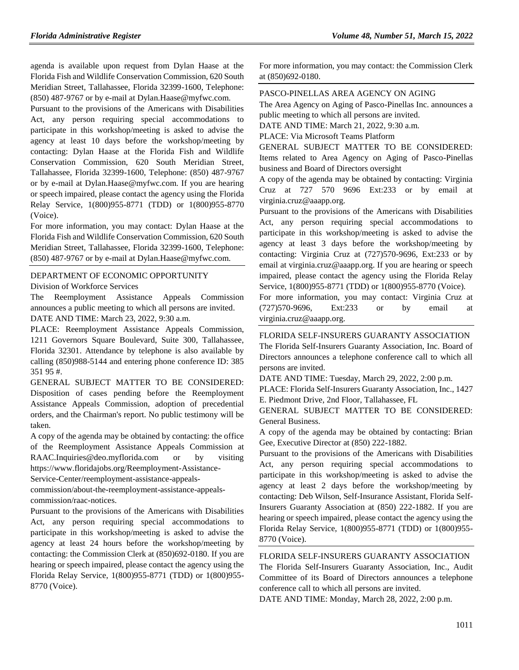agenda is available upon request from Dylan Haase at the Florida Fish and Wildlife Conservation Commission, 620 South Meridian Street, Tallahassee, Florida 32399-1600, Telephone: (850) 487-9767 or by e-mail at Dylan.Haase@myfwc.com.

Pursuant to the provisions of the Americans with Disabilities Act, any person requiring special accommodations to participate in this workshop/meeting is asked to advise the agency at least 10 days before the workshop/meeting by contacting: Dylan Haase at the Florida Fish and Wildlife Conservation Commission, 620 South Meridian Street, Tallahassee, Florida 32399-1600, Telephone: (850) 487-9767 or by e-mail at Dylan.Haase@myfwc.com. If you are hearing or speech impaired, please contact the agency using the Florida Relay Service, 1(800)955-8771 (TDD) or 1(800)955-8770 (Voice).

For more information, you may contact: Dylan Haase at the Florida Fish and Wildlife Conservation Commission, 620 South Meridian Street, Tallahassee, Florida 32399-1600, Telephone: (850) 487-9767 or by e-mail at Dylan.Haase@myfwc.com.

# [DEPARTMENT OF ECONOMIC OPPORTUNITY](https://www.flrules.org/gateway/department.asp?id=73)

[Division of Workforce Services](https://www.flrules.org/gateway/organization.asp?id=1065)

The Reemployment Assistance Appeals Commission announces a public meeting to which all persons are invited. DATE AND TIME: March 23, 2022, 9:30 a.m.

PLACE: Reemployment Assistance Appeals Commission, 1211 Governors Square Boulevard, Suite 300, Tallahassee, Florida 32301. Attendance by telephone is also available by calling (850)988-5144 and entering phone conference ID: 385 351 95 #.

GENERAL SUBJECT MATTER TO BE CONSIDERED: Disposition of cases pending before the Reemployment Assistance Appeals Commission, adoption of precedential orders, and the Chairman's report. No public testimony will be taken.

A copy of the agenda may be obtained by contacting: the office of the Reemployment Assistance Appeals Commission at RAAC.Inquiries@deo.myflorida.com or by visiting https://www.floridajobs.org/Reemployment-Assistance-

Service-Center/reemployment-assistance-appeals-

commission/about-the-reemployment-assistance-appealscommission/raac-notices.

Pursuant to the provisions of the Americans with Disabilities Act, any person requiring special accommodations to participate in this workshop/meeting is asked to advise the agency at least 24 hours before the workshop/meeting by contacting: the Commission Clerk at (850)692-0180. If you are hearing or speech impaired, please contact the agency using the Florida Relay Service, 1(800)955-8771 (TDD) or 1(800)955- 8770 (Voice).

For more information, you may contact: the Commission Clerk at (850)692-0180.

### [PASCO-PINELLAS AREA AGENCY ON AGING](https://www.flrules.org/gateway/organization.asp?id=569)

The Area Agency on Aging of Pasco-Pinellas Inc. announces a public meeting to which all persons are invited.

DATE AND TIME: March 21, 2022, 9:30 a.m.

PLACE: Via Microsoft Teams Platform

GENERAL SUBJECT MATTER TO BE CONSIDERED: Items related to Area Agency on Aging of Pasco-Pinellas business and Board of Directors oversight

A copy of the agenda may be obtained by contacting: Virginia Cruz at 727 570 9696 Ext:233 or by email at virginia.cruz@aaapp.org.

Pursuant to the provisions of the Americans with Disabilities Act, any person requiring special accommodations to participate in this workshop/meeting is asked to advise the agency at least 3 days before the workshop/meeting by contacting: Virginia Cruz at (727)570-9696, Ext:233 or by email at virginia.cruz@aaapp.org. If you are hearing or speech impaired, please contact the agency using the Florida Relay Service, 1(800)955-8771 (TDD) or 1(800)955-8770 (Voice).

For more information, you may contact: Virginia Cruz at (727)570-9696, Ext:233 or by email at virginia.cruz@aaapp.org.

[FLORIDA SELF-INSURERS GUARANTY ASSOCIATION](https://www.flrules.org/gateway/organization.asp?id=573) The Florida Self-Insurers Guaranty Association, Inc. Board of Directors announces a telephone conference call to which all persons are invited.

DATE AND TIME: Tuesday, March 29, 2022, 2:00 p.m.

PLACE: Florida Self-Insurers Guaranty Association, Inc., 1427 E. Piedmont Drive, 2nd Floor, Tallahassee, FL

GENERAL SUBJECT MATTER TO BE CONSIDERED: General Business.

A copy of the agenda may be obtained by contacting: Brian Gee, Executive Director at (850) 222-1882.

Pursuant to the provisions of the Americans with Disabilities Act, any person requiring special accommodations to participate in this workshop/meeting is asked to advise the agency at least 2 days before the workshop/meeting by contacting: Deb Wilson, Self-Insurance Assistant, Florida Self-Insurers Guaranty Association at (850) 222-1882. If you are hearing or speech impaired, please contact the agency using the Florida Relay Service, 1(800)955-8771 (TDD) or 1(800)955- 8770 (Voice).

[FLORIDA SELF-INSURERS GUARANTY ASSOCIATION](https://www.flrules.org/gateway/organization.asp?id=573)

The Florida Self-Insurers Guaranty Association, Inc., Audit Committee of its Board of Directors announces a telephone conference call to which all persons are invited.

DATE AND TIME: Monday, March 28, 2022, 2:00 p.m.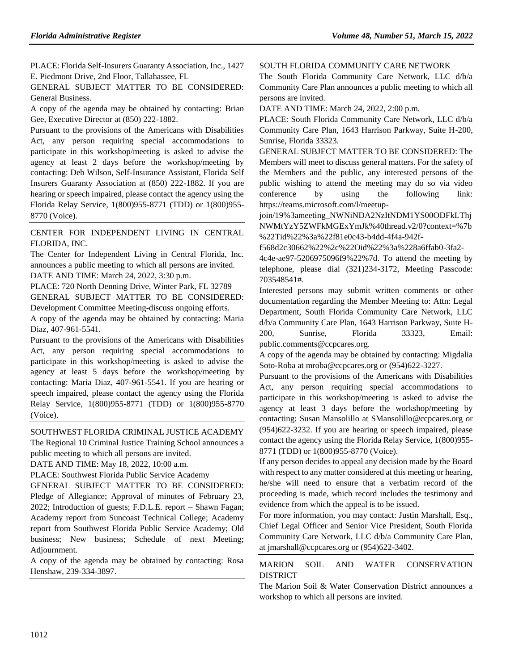PLACE: Florida Self-Insurers Guaranty Association, Inc., 1427 E. Piedmont Drive, 2nd Floor, Tallahassee, FL

GENERAL SUBJECT MATTER TO BE CONSIDERED: General Business.

A copy of the agenda may be obtained by contacting: Brian Gee, Executive Director at (850) 222-1882.

Pursuant to the provisions of the Americans with Disabilities Act, any person requiring special accommodations to participate in this workshop/meeting is asked to advise the agency at least 2 days before the workshop/meeting by contacting: Deb Wilson, Self-Insurance Assistant, Florida Self Insurers Guaranty Association at (850) 222-1882. If you are hearing or speech impaired, please contact the agency using the Florida Relay Service, 1(800)955-8771 (TDD) or 1(800)955- 8770 (Voice).

[CENTER FOR INDEPENDENT LIVING IN CENTRAL](https://www.flrules.org/gateway/organization.asp?id=760)  [FLORIDA, INC.](https://www.flrules.org/gateway/organization.asp?id=760)

The Center for Independent Living in Central Florida, Inc. announces a public meeting to which all persons are invited. DATE AND TIME: March 24, 2022, 3:30 p.m.

PLACE: 720 North Denning Drive, Winter Park, FL 32789 GENERAL SUBJECT MATTER TO BE CONSIDERED:

Development Committee Meeting-discuss ongoing efforts.

A copy of the agenda may be obtained by contacting: Maria Diaz, 407-961-5541.

Pursuant to the provisions of the Americans with Disabilities Act, any person requiring special accommodations to participate in this workshop/meeting is asked to advise the agency at least 5 days before the workshop/meeting by contacting: Maria Diaz, 407-961-5541. If you are hearing or speech impaired, please contact the agency using the Florida Relay Service, 1(800)955-8771 (TDD) or 1(800)955-8770 (Voice).

[SOUTHWEST FLORIDA CRIMINAL JUSTICE ACADEMY](https://www.flrules.org/gateway/organization.asp?id=818) The Regional 10 Criminal Justice Training School announces a public meeting to which all persons are invited.

DATE AND TIME: May 18, 2022, 10:00 a.m.

PLACE: Southwest Florida Public Service Academy

GENERAL SUBJECT MATTER TO BE CONSIDERED: Pledge of Allegiance; Approval of minutes of February 23, 2022; Introduction of guests; F.D.L.E. report – Shawn Fagan; Academy report from Suncoast Technical College; Academy report from Southwest Florida Public Service Academy; Old business; New business; Schedule of next Meeting; Adjournment.

A copy of the agenda may be obtained by contacting: Rosa Henshaw, 239-334-3897.

#### [SOUTH FLORIDA COMMUNITY CARE NETWORK](https://www.flrules.org/gateway/organization.asp?id=1130)

The South Florida Community Care Network, LLC d/b/a Community Care Plan announces a public meeting to which all persons are invited.

DATE AND TIME: March 24, 2022, 2:00 p.m.

PLACE: South Florida Community Care Network, LLC d/b/a Community Care Plan, 1643 Harrison Parkway, Suite H-200, Sunrise, Florida 33323.

GENERAL SUBJECT MATTER TO BE CONSIDERED: The Members will meet to discuss general matters. For the safety of the Members and the public, any interested persons of the public wishing to attend the meeting may do so via video conference by using the following link: https://teams.microsoft.com/l/meetup-

join/19%3ameeting\_NWNiNDA2NzItNDM1YS00ODFkLThj NWMtYzY5ZWFkMGExYmJk%40thread.v2/0?context=%7b %22Tid%22%3a%22f81e0c43-b4dd-4f4a-942f-

f568d2c30662%22%2c%22Oid%22%3a%228a6ffab0-3fa2-

4c4e-ae97-5206975096f9%22%7d. To attend the meeting by telephone, please dial (321)234-3172, Meeting Passcode: 703548541#.

Interested persons may submit written comments or other documentation regarding the Member Meeting to: Attn: Legal Department, South Florida Community Care Network, LLC d/b/a Community Care Plan, 1643 Harrison Parkway, Suite H-200, Sunrise, Florida 33323, Email: public.comments@ccpcares.org.

A copy of the agenda may be obtained by contacting: Migdalia Soto-Roba at mroba@ccpcares.org or (954)622-3227.

Pursuant to the provisions of the Americans with Disabilities Act, any person requiring special accommodations to participate in this workshop/meeting is asked to advise the agency at least 3 days before the workshop/meeting by contacting: Susan Mansolillo at SMansolillo@ccpcares.org or (954)622-3232. If you are hearing or speech impaired, please contact the agency using the Florida Relay Service, 1(800)955- 8771 (TDD) or 1(800)955-8770 (Voice).

If any person decides to appeal any decision made by the Board with respect to any matter considered at this meeting or hearing, he/she will need to ensure that a verbatim record of the proceeding is made, which record includes the testimony and evidence from which the appeal is to be issued.

For more information, you may contact: Justin Marshall, Esq., Chief Legal Officer and Senior Vice President, South Florida Community Care Network, LLC d/b/a Community Care Plan, at jmarshall@ccpcares.org or (954)622-3402.

## [MARION SOIL AND WATER CONSERVATION](https://www.flrules.org/gateway/organization.asp?id=746)  [DISTRICT](https://www.flrules.org/gateway/organization.asp?id=746)

The Marion Soil & Water Conservation District announces a workshop to which all persons are invited.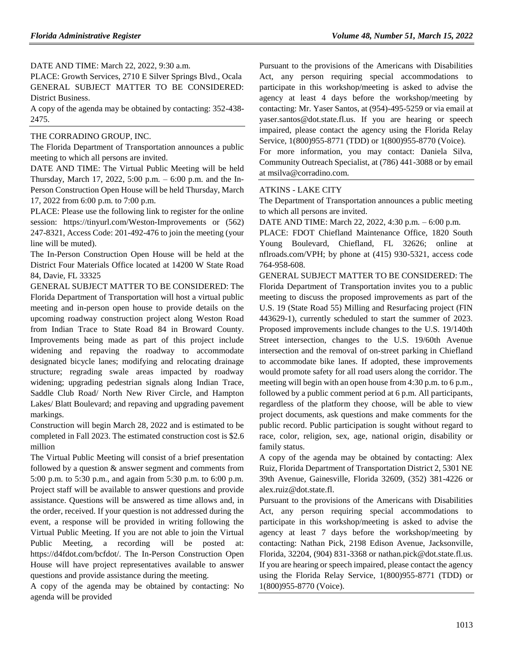DATE AND TIME: March 22, 2022, 9:30 a.m.

PLACE: Growth Services, 2710 E Silver Springs Blvd., Ocala GENERAL SUBJECT MATTER TO BE CONSIDERED: District Business.

A copy of the agenda may be obtained by contacting: 352-438- 2475.

#### [THE CORRADINO GROUP, INC.](https://www.flrules.org/gateway/organization.asp?id=1048)

The Florida Department of Transportation announces a public meeting to which all persons are invited.

DATE AND TIME: The Virtual Public Meeting will be held Thursday, March 17, 2022, 5:00 p.m. – 6:00 p.m. and the In-Person Construction Open House will be held Thursday, March 17, 2022 from 6:00 p.m. to 7:00 p.m.

PLACE: Please use the following link to register for the online session: https://tinyurl.com/Weston-Improvements or (562) 247-8321, Access Code: 201-492-476 to join the meeting (your line will be muted).

The In-Person Construction Open House will be held at the District Four Materials Office located at 14200 W State Road 84, Davie, FL 33325

GENERAL SUBJECT MATTER TO BE CONSIDERED: The Florida Department of Transportation will host a virtual public meeting and in-person open house to provide details on the upcoming roadway construction project along Weston Road from Indian Trace to State Road 84 in Broward County. Improvements being made as part of this project include widening and repaving the roadway to accommodate designated bicycle lanes; modifying and relocating drainage structure; regrading swale areas impacted by roadway widening; upgrading pedestrian signals along Indian Trace, Saddle Club Road/ North New River Circle, and Hampton Lakes/ Blatt Boulevard; and repaving and upgrading pavement markings.

Construction will begin March 28, 2022 and is estimated to be completed in Fall 2023. The estimated construction cost is \$2.6 million

The Virtual Public Meeting will consist of a brief presentation followed by a question & answer segment and comments from 5:00 p.m. to 5:30 p.m., and again from 5:30 p.m. to 6:00 p.m. Project staff will be available to answer questions and provide assistance. Questions will be answered as time allows and, in the order, received. If your question is not addressed during the event, a response will be provided in writing following the Virtual Public Meeting. If you are not able to join the Virtual Public Meeting, a recording will be posted at: https://d4fdot.com/bcfdot/. The In-Person Construction Open House will have project representatives available to answer questions and provide assistance during the meeting.

A copy of the agenda may be obtained by contacting: No agenda will be provided

Pursuant to the provisions of the Americans with Disabilities Act, any person requiring special accommodations to participate in this workshop/meeting is asked to advise the agency at least 4 days before the workshop/meeting by contacting: Mr. Yaser Santos, at (954)-495-5259 or via email at yaser.santos@dot.state.fl.us. If you are hearing or speech impaired, please contact the agency using the Florida Relay Service, 1(800)955-8771 (TDD) or 1(800)955-8770 (Voice).

For more information, you may contact: Daniela Silva, Community Outreach Specialist, at (786) 441-3088 or by email at msilva@corradino.com.

#### ATKINS - [LAKE CITY](https://www.flrules.org/gateway/organization.asp?id=1371)

The Department of Transportation announces a public meeting to which all persons are invited.

DATE AND TIME: March 22, 2022, 4:30 p.m. – 6:00 p.m.

PLACE: FDOT Chiefland Maintenance Office, 1820 South Young Boulevard, Chiefland, FL 32626; online at nflroads.com/VPH; by phone at (415) 930-5321, access code 764-958-608.

GENERAL SUBJECT MATTER TO BE CONSIDERED: The Florida Department of Transportation invites you to a public meeting to discuss the proposed improvements as part of the U.S. 19 (State Road 55) Milling and Resurfacing project (FIN 443629-1), currently scheduled to start the summer of 2023. Proposed improvements include changes to the U.S. 19/140th Street intersection, changes to the U.S. 19/60th Avenue intersection and the removal of on-street parking in Chiefland to accommodate bike lanes. If adopted, these improvements would promote safety for all road users along the corridor. The meeting will begin with an open house from 4:30 p.m. to 6 p.m., followed by a public comment period at 6 p.m. All participants, regardless of the platform they choose, will be able to view project documents, ask questions and make comments for the public record. Public participation is sought without regard to race, color, religion, sex, age, national origin, disability or family status.

A copy of the agenda may be obtained by contacting: Alex Ruiz, Florida Department of Transportation District 2, 5301 NE 39th Avenue, Gainesville, Florida 32609, (352) 381-4226 or alex.ruiz@dot.state.fl.

Pursuant to the provisions of the Americans with Disabilities Act, any person requiring special accommodations to participate in this workshop/meeting is asked to advise the agency at least 7 days before the workshop/meeting by contacting: Nathan Pick, 2198 Edison Avenue, Jacksonville, Florida, 32204, (904) 831-3368 or nathan.pick@dot.state.fl.us. If you are hearing or speech impaired, please contact the agency using the Florida Relay Service, 1(800)955-8771 (TDD) or 1(800)955-8770 (Voice).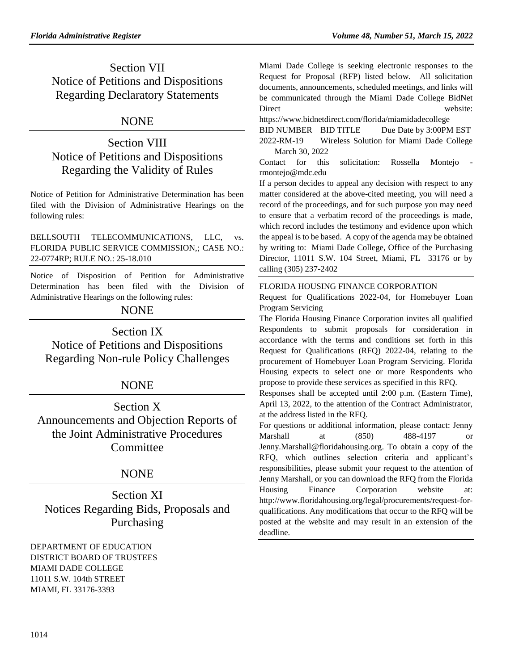## Section VII Notice of Petitions and Dispositions Regarding Declaratory Statements

## NONE

## Section VIII Notice of Petitions and Dispositions Regarding the Validity of Rules

Notice of Petition for Administrative Determination has been filed with the Division of Administrative Hearings on the following rules:

BELLSOUTH TELECOMMUNICATIONS, LLC, vs. FLORIDA PUBLIC SERVICE COMMISSION,; CASE NO.: 22-0774RP; RULE NO.: 25-18.010

Notice of Disposition of Petition for Administrative Determination has been filed with the Division of Administrative Hearings on the following rules:

## NONE

Section IX Notice of Petitions and Dispositions Regarding Non-rule Policy Challenges

## NONE

Section X Announcements and Objection Reports of the Joint Administrative Procedures **Committee** 

## NONE

Section XI Notices Regarding Bids, Proposals and Purchasing

[DEPARTMENT OF EDUCATION](https://www.flrules.org/gateway/department.asp?id=6) DISTRICT BOARD OF TRUSTEES MIAMI DADE COLLEGE 11011 S.W. 104th STREET MIAMI, FL 33176-3393

Miami Dade College is seeking electronic responses to the Request for Proposal (RFP) listed below. All solicitation documents, announcements, scheduled meetings, and links will be communicated through the Miami Dade College BidNet Direct website:

https://www.bidnetdirect.com/florida/miamidadecollege BID NUMBER BID TITLE Due Date by 3:00PM EST 2022-RM-19 Wireless Solution for Miami Dade College March 30, 2022

Contact for this solicitation: Rossella Montejo rmontejo@mdc.edu

If a person decides to appeal any decision with respect to any matter considered at the above-cited meeting, you will need a record of the proceedings, and for such purpose you may need to ensure that a verbatim record of the proceedings is made, which record includes the testimony and evidence upon which the appeal is to be based. A copy of the agenda may be obtained by writing to: Miami Dade College, Office of the Purchasing Director, 11011 S.W. 104 Street, Miami, FL 33176 or by calling (305) 237-2402

## [FLORIDA HOUSING FINANCE CORPORATION](https://www.flrules.org/gateway/department.asp?id=67)

Request for Qualifications 2022-04, for Homebuyer Loan Program Servicing

The Florida Housing Finance Corporation invites all qualified Respondents to submit proposals for consideration in accordance with the terms and conditions set forth in this Request for Qualifications (RFQ) 2022-04, relating to the procurement of Homebuyer Loan Program Servicing. Florida Housing expects to select one or more Respondents who propose to provide these services as specified in this RFQ.

Responses shall be accepted until 2:00 p.m. (Eastern Time), April 13, 2022, to the attention of the Contract Administrator, at the address listed in the RFQ.

For questions or additional information, please contact: Jenny Marshall at (850) 488-4197 or [Jenny.Marshall@floridahousing.org.](mailto:Jenny.Marshall@floridahousing.org) To obtain a copy of the RFQ, which outlines selection criteria and applicant's responsibilities, please submit your request to the attention of Jenny Marshall, or you can download the RFQ from the Florida Housing Finance Corporation website at: [http://www.floridahousing.org/legal/procurements/request-for](http://www.floridahousing.org/legal/procurements/request-for-qualifications)[qualifications.](http://www.floridahousing.org/legal/procurements/request-for-qualifications) Any modifications that occur to the RFQ will be posted at the website and may result in an extension of the deadline.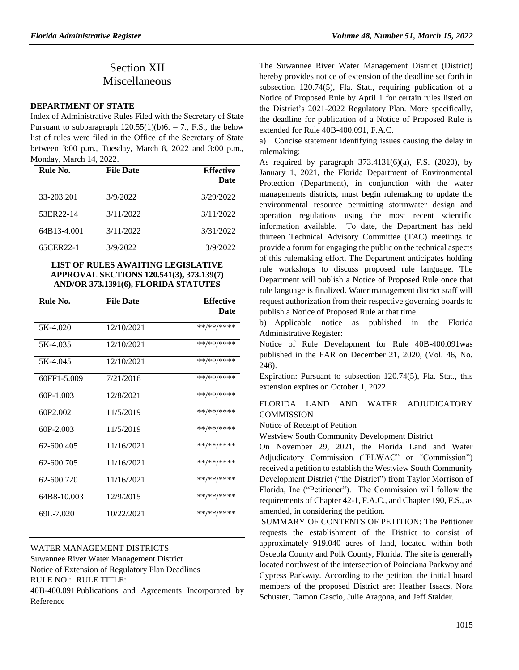## Section XII Miscellaneous

## **[DEPARTMENT OF STATE](https://www.flrules.org/gateway/department.asp?id=1)**

Index of Administrative Rules Filed with the Secretary of State Pursuant to subparagraph  $120.55(1)(b)6. - 7$ ., F.S., the below list of rules were filed in the Office of the Secretary of State between 3:00 p.m., Tuesday, March 8, 2022 and 3:00 p.m., Monday, March 14, 2022.

| Rule No.    | <b>File Date</b> | <b>Effective</b><br>Date |
|-------------|------------------|--------------------------|
| 33-203.201  | 3/9/2022         | 3/29/2022                |
| 53ER22-14   | 3/11/2022        | 3/11/2022                |
| 64B13-4.001 | 3/11/2022        | 3/31/2022                |
| 65CER22-1   | 3/9/2022         | 3/9/2022                 |

**LIST OF RULES AWAITING LEGISLATIVE APPROVAL SECTIONS 120.541(3), 373.139(7) AND/OR 373.1391(6), FLORIDA STATUTES**

| Rule No.    | <b>File Date</b> | <b>Effective</b> |
|-------------|------------------|------------------|
|             |                  | Date             |
| 5K-4.020    | 12/10/2021       | **/**/****       |
| 5K-4.035    | 12/10/2021       | **/**/****       |
| 5K-4.045    | 12/10/2021       | **/**/****       |
| 60FF1-5.009 | 7/21/2016        | **/**/****       |
| $60P-1.003$ | 12/8/2021        | **/**/****       |
| 60P2.002    | 11/5/2019        | **/**/****       |
| 60P-2.003   | 11/5/2019        | **/**/****       |
| 62-600.405  | 11/16/2021       | **/**/****       |
| 62-600.705  | 11/16/2021       | **/**/****       |
| 62-600.720  | 11/16/2021       | **/**/****       |
| 64B8-10.003 | 12/9/2015        | **/**/****       |
| 69L-7.020   | 10/22/2021       | **/**/****       |

## [WATER MANAGEMENT DISTRICTS](https://www.flrules.org/gateway/department.asp?id=40)

[Suwannee River Water Management District](https://www.flrules.org/gateway/organization.asp?id=121) Notice of Extension of Regulatory Plan Deadlines RULE NO.: RULE TITLE:

[40B-400.091](https://www.flrules.org/gateway/ruleNo.asp?id=40B-400.091) Publications and Agreements Incorporated by Reference

The Suwannee River Water Management District (District) hereby provides notice of extension of the deadline set forth in subsection 120.74(5), Fla. Stat., requiring publication of a Notice of Proposed Rule by April 1 for certain rules listed on the District's 2021-2022 Regulatory Plan. More specifically, the deadline for publication of a Notice of Proposed Rule is extended for Rule 40B-400.091, F.A.C.

a) Concise statement identifying issues causing the delay in rulemaking:

As required by paragraph 373.4131(6)(a), F.S. (2020), by January 1, 2021, the Florida Department of Environmental Protection (Department), in conjunction with the water managements districts, must begin rulemaking to update the environmental resource permitting stormwater design and operation regulations using the most recent scientific information available. To date, the Department has held thirteen Technical Advisory Committee (TAC) meetings to provide a forum for engaging the public on the technical aspects of this rulemaking effort. The Department anticipates holding rule workshops to discuss proposed rule language. The Department will publish a Notice of Proposed Rule once that rule language is finalized. Water management district staff will request authorization from their respective governing boards to publish a Notice of Proposed Rule at that time.

b) Applicable notice as published in the Florida Administrative Register:

Notice of Rule Development for Rule 40B-400.091was published in the FAR on December 21, 2020, (Vol. 46, No. 246).

Expiration: Pursuant to subsection 120.74(5), Fla. Stat., this extension expires on October 1, 2022.

## [FLORIDA LAND AND WATER ADJUDICATORY](https://www.flrules.org/gateway/department.asp?id=42)  **[COMMISSION](https://www.flrules.org/gateway/department.asp?id=42)**

Notice of Receipt of Petition

Westview South Community Development District

On November 29, 2021, the Florida Land and Water Adjudicatory Commission ("FLWAC" or "Commission") received a petition to establish the Westview South Community Development District ("the District") from Taylor Morrison of Florida, Inc ("Petitioner"). The Commission will follow the requirements of Chapter 42-1, F.A.C., and Chapter 190, F.S., as amended, in considering the petition.

SUMMARY OF CONTENTS OF PETITION: The Petitioner requests the establishment of the District to consist of approximately 919.040 acres of land, located within both Osceola County and Polk County, Florida. The site is generally located northwest of the intersection of Poinciana Parkway and Cypress Parkway. According to the petition, the initial board members of the proposed District are: Heather Isaacs, Nora Schuster, Damon Cascio, Julie Aragona, and Jeff Stalder.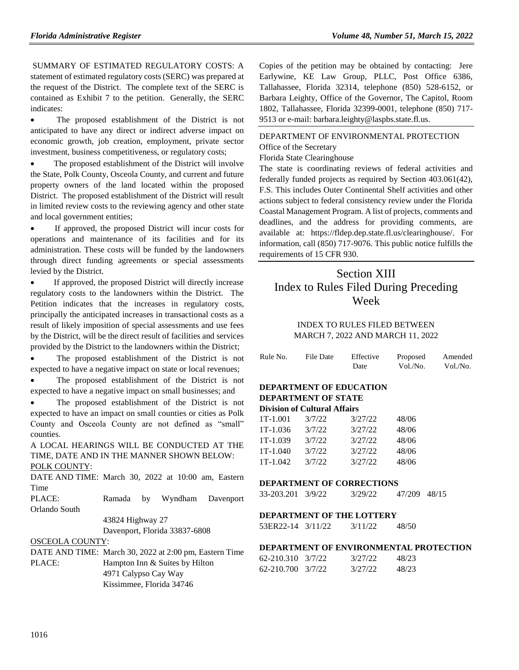SUMMARY OF ESTIMATED REGULATORY COSTS: A statement of estimated regulatory costs (SERC) was prepared at the request of the District. The complete text of the SERC is contained as Exhibit 7 to the petition. Generally, the SERC indicates:

• The proposed establishment of the District is not anticipated to have any direct or indirect adverse impact on economic growth, job creation, employment, private sector investment, business competitiveness, or regulatory costs;

• The proposed establishment of the District will involve the State, Polk County, Osceola County, and current and future property owners of the land located within the proposed District. The proposed establishment of the District will result in limited review costs to the reviewing agency and other state and local government entities;

 If approved, the proposed District will incur costs for operations and maintenance of its facilities and for its administration. These costs will be funded by the landowners through direct funding agreements or special assessments levied by the District.

 If approved, the proposed District will directly increase regulatory costs to the landowners within the District. The Petition indicates that the increases in regulatory costs, principally the anticipated increases in transactional costs as a result of likely imposition of special assessments and use fees by the District, will be the direct result of facilities and services provided by the District to the landowners within the District;

 The proposed establishment of the District is not expected to have a negative impact on state or local revenues;

 The proposed establishment of the District is not expected to have a negative impact on small businesses; and

• The proposed establishment of the District is not expected to have an impact on small counties or cities as Polk County and Osceola County are not defined as "small" counties.

A LOCAL HEARINGS WILL BE CONDUCTED AT THE TIME, DATE AND IN THE MANNER SHOWN BELOW: POLK COUNTY:

DATE AND TIME: March 30, 2022 at 10:00 am, Eastern Time

PLACE: Ramada by Wyndham Davenport Orlando South

43824 Highway 27

Davenport, Florida 33837-6808

#### OSCEOLA COUNTY:

|        | DATE AND TIME: March 30, 2022 at 2:00 pm, Eastern Time |
|--------|--------------------------------------------------------|
| PLACE: | Hampton Inn & Suites by Hilton                         |
|        | 4971 Calypso Cay Way                                   |
|        | Kissimmee, Florida 34746                               |

Copies of the petition may be obtained by contacting: Jere Earlywine, KE Law Group, PLLC, Post Office 6386, Tallahassee, Florida 32314, telephone (850) 528-6152, or Barbara Leighty, Office of the Governor, The Capitol, Room 1802, Tallahassee, Florida 32399-0001, telephone (850) 717- 9513 or e-mail: barbara.leighty@laspbs.state.fl.us.

## [DEPARTMENT OF ENVIRONMENTAL PROTECTION](https://www.flrules.org/gateway/department.asp?id=62) [Office of the Secretary](https://www.flrules.org/gateway/organization.asp?id=294) Florida State Clearinghouse

The state is coordinating reviews of federal activities and federally funded projects as required by Section 403.061(42), F.S. This includes Outer Continental Shelf activities and other actions subject to federal consistency review under the Florida Coastal Management Program. A list of projects, comments and deadlines, and the address for providing comments, are available at: [https://fldep.dep.state.fl.us/clearinghouse/.](https://fldep.dep.state.fl.us/clearinghouse/) For information, call (850) 717-9076. This public notice fulfills the requirements of 15 CFR 930.

## Section XIII Index to Rules Filed During Preceding Week

## INDEX TO RULES FILED BETWEEN MARCH 7, 2022 AND MARCH 11, 2022

| Rule No.                       | File Date                           | Effective<br>Date | Proposed<br>Vol./No. | Amended<br>Vol./No. |  |  |  |
|--------------------------------|-------------------------------------|-------------------|----------------------|---------------------|--|--|--|
| <b>DEPARTMENT OF EDUCATION</b> |                                     |                   |                      |                     |  |  |  |
|                                | <b>DEPARTMENT OF STATE</b>          |                   |                      |                     |  |  |  |
|                                | <b>Division of Cultural Affairs</b> |                   |                      |                     |  |  |  |
| $1T-1.001$                     | 3/7/22                              | 3/27/22           | 48/06                |                     |  |  |  |
| $1T-1.036$                     | 3/7/22                              | 3/27/22           | 48/06                |                     |  |  |  |
| $1T-1.039$                     | 3/7/22                              | 3/27/22           | 48/06                |                     |  |  |  |
| $1T-1.040$                     | 3/7/22                              | 3/27/22           | 48/06                |                     |  |  |  |
| $1T-1.042$                     | 3/7/22                              | 3/27/22           | 48/06                |                     |  |  |  |

#### **DEPARTMENT OF CORRECTIONS**

33-203.201 3/9/22 3/29/22 47/209 48/15

## **DEPARTMENT OF THE LOTTERY**

53ER22-14 3/11/22 3/11/22 48/50

## **DEPARTMENT OF ENVIRONMENTAL PROTECTION**

| $62 - 210.310$ $3/7/22$ | 3/27/22 | 48/23 |
|-------------------------|---------|-------|
| $62 - 210.700$ $3/7/22$ | 3/27/22 | 48/23 |